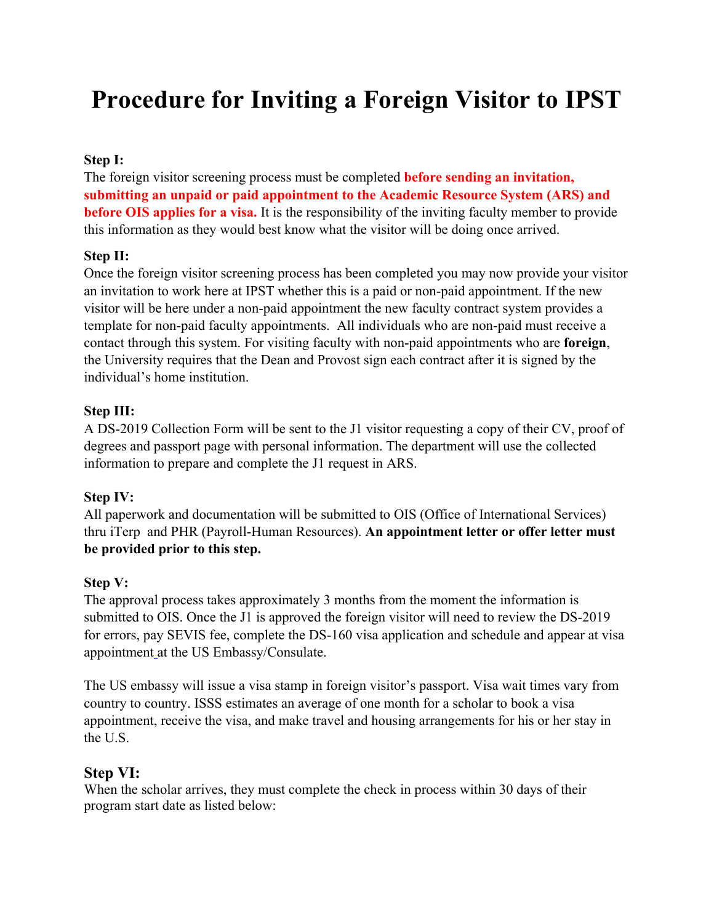# **Procedure for Inviting a Foreign Visitor to IPST**

### **Step I:**

The foreign visitor screening process must be completed **before sending an invitation, submitting an unpaid or paid appointment to the Academic Resource System (ARS) and before OIS applies for a visa.** It is the responsibility of the inviting faculty member to provide this information as they would best know what the visitor will be doing once arrived.

#### **Step II:**

Once the foreign visitor screening process has been completed you may now provide your visitor an invitation to work here at IPST whether this is a paid or non-paid appointment. If the new visitor will be here under a non-paid appointment the new faculty contract system provides a template for non-paid faculty appointments. All individuals who are non-paid must receive a contact through this system. For visiting faculty with non-paid appointments who are **foreign**, the University requires that the Dean and Provost sign each contract after it is signed by the individual's home institution.

#### **Step III:**

A DS-2019 Collection Form will be sent to the J1 visitor requesting a copy of their CV, proof of degrees and passport page with personal information. The department will use the collected information to prepare and complete the J1 request in ARS.

## **Step IV:**

All paperwork and documentation will be submitted to OIS (Office of International Services) thru iTerp and PHR (Payroll-Human Resources). **An appointment letter or offer letter must be provided prior to this step.**

## **Step V:**

The approval process takes approximately 3 months from the moment the information is submitted to OIS. Once the J1 is approved the foreign visitor will need to review the DS-2019 for errors, pay SEVIS fee, complete the DS-160 visa application and schedule and appear at visa appointment at the US Embassy/Consulate.

The US embassy will issue a visa stamp in foreign visitor's passport. Visa wait times vary from country to country. ISSS estimates an average of one month for a scholar to book a visa appointment, receive the visa, and make travel and housing arrangements for his or her stay in the U.S.

## **Step VI:**

When the scholar arrives, they must complete the check in process within 30 days of their program start date as listed below: